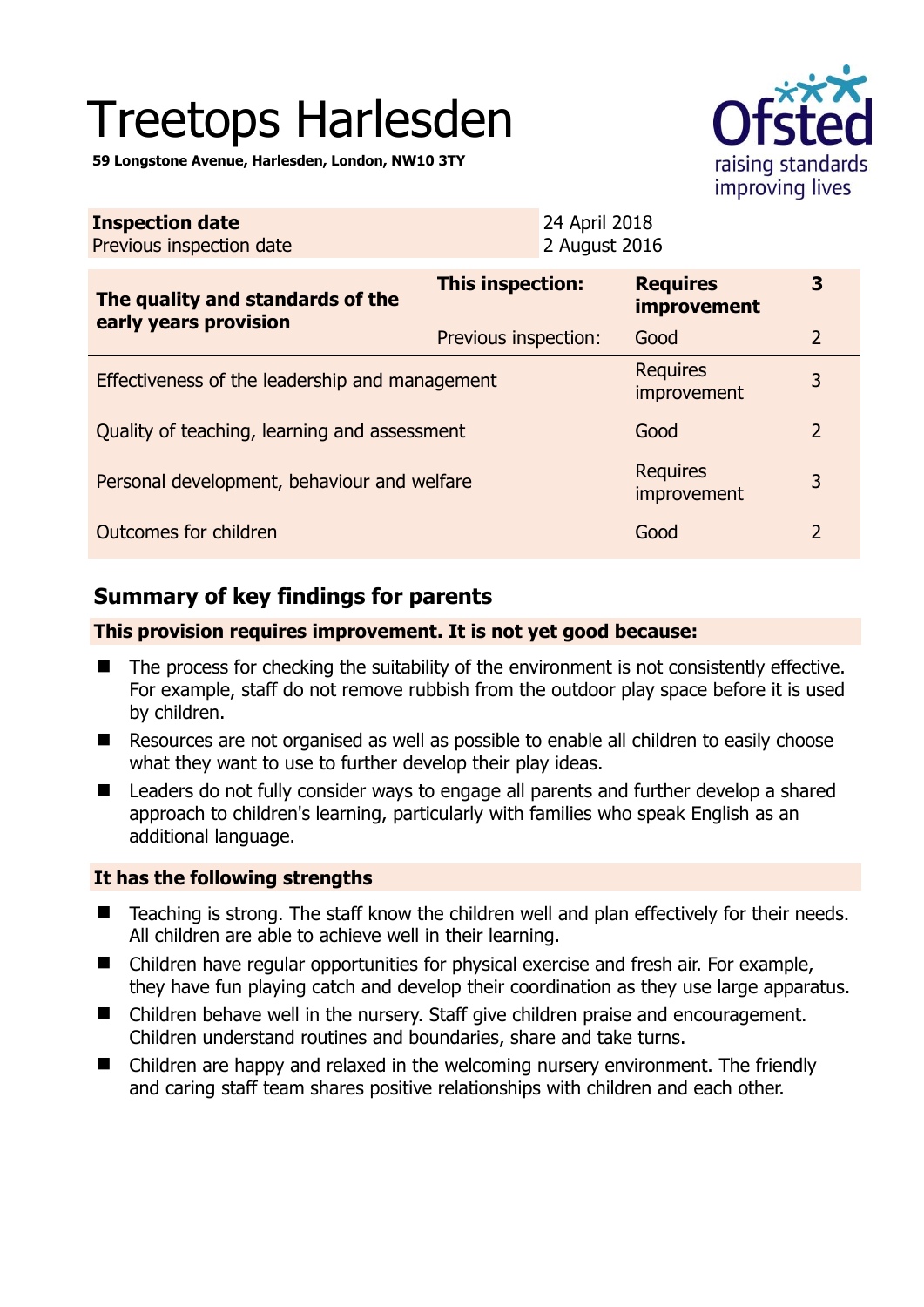# Treetops Harlesden

**59 Longstone Avenue, Harlesden, London, NW10 3TY** 



| <b>Inspection date</b><br>Previous inspection date        | 24 April 2018<br>2 August 2016 |                                       |                |
|-----------------------------------------------------------|--------------------------------|---------------------------------------|----------------|
| The quality and standards of the<br>early years provision | This inspection:               | <b>Requires</b><br><i>improvement</i> | 3              |
|                                                           | Previous inspection:           | Good                                  | 2              |
| Effectiveness of the leadership and management            |                                | <b>Requires</b><br>improvement        | 3              |
| Quality of teaching, learning and assessment              | Good                           | $\overline{2}$                        |                |
| Personal development, behaviour and welfare               |                                | <b>Requires</b><br>improvement        | 3              |
| Outcomes for children                                     |                                | Good                                  | $\overline{2}$ |

# **Summary of key findings for parents**

## **This provision requires improvement. It is not yet good because:**

- The process for checking the suitability of the environment is not consistently effective. For example, staff do not remove rubbish from the outdoor play space before it is used by children.
- Resources are not organised as well as possible to enable all children to easily choose what they want to use to further develop their play ideas.
- Leaders do not fully consider ways to engage all parents and further develop a shared approach to children's learning, particularly with families who speak English as an additional language.

## **It has the following strengths**

- Teaching is strong. The staff know the children well and plan effectively for their needs. All children are able to achieve well in their learning.
- Children have regular opportunities for physical exercise and fresh air. For example, they have fun playing catch and develop their coordination as they use large apparatus.
- Children behave well in the nursery. Staff give children praise and encouragement. Children understand routines and boundaries, share and take turns.
- Children are happy and relaxed in the welcoming nursery environment. The friendly and caring staff team shares positive relationships with children and each other.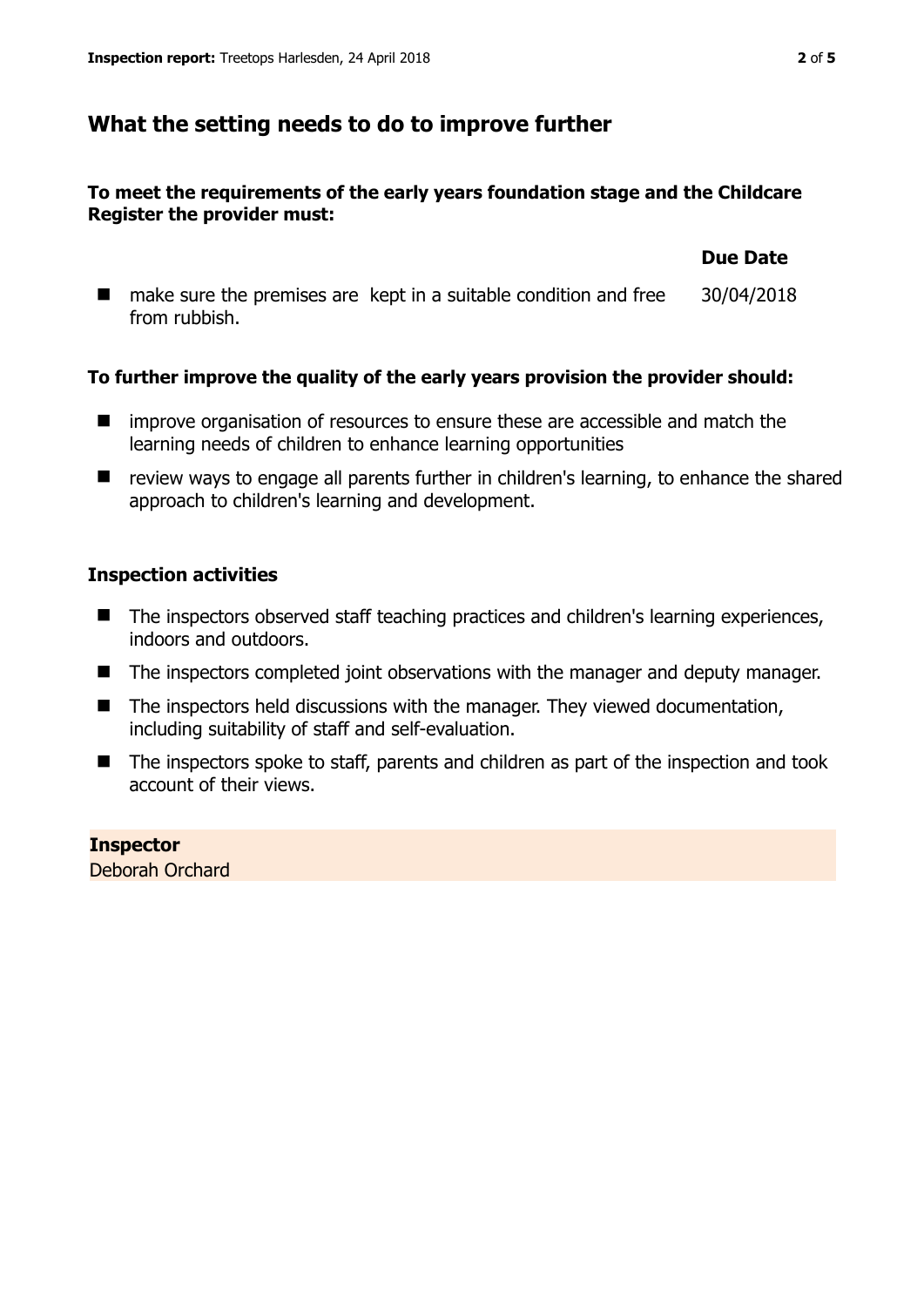## **What the setting needs to do to improve further**

## **To meet the requirements of the early years foundation stage and the Childcare Register the provider must:**

|               | make sure the premises are kept in a suitable condition and free | 30/04/2018 |
|---------------|------------------------------------------------------------------|------------|
| from rubbish. |                                                                  |            |

## **To further improve the quality of the early years provision the provider should:**

- $\blacksquare$  improve organisation of resources to ensure these are accessible and match the learning needs of children to enhance learning opportunities
- review ways to engage all parents further in children's learning, to enhance the shared approach to children's learning and development.

## **Inspection activities**

- The inspectors observed staff teaching practices and children's learning experiences, indoors and outdoors.
- The inspectors completed joint observations with the manager and deputy manager.
- The inspectors held discussions with the manager. They viewed documentation, including suitability of staff and self-evaluation.
- The inspectors spoke to staff, parents and children as part of the inspection and took account of their views.

**Inspector**  Deborah Orchard **Due Date**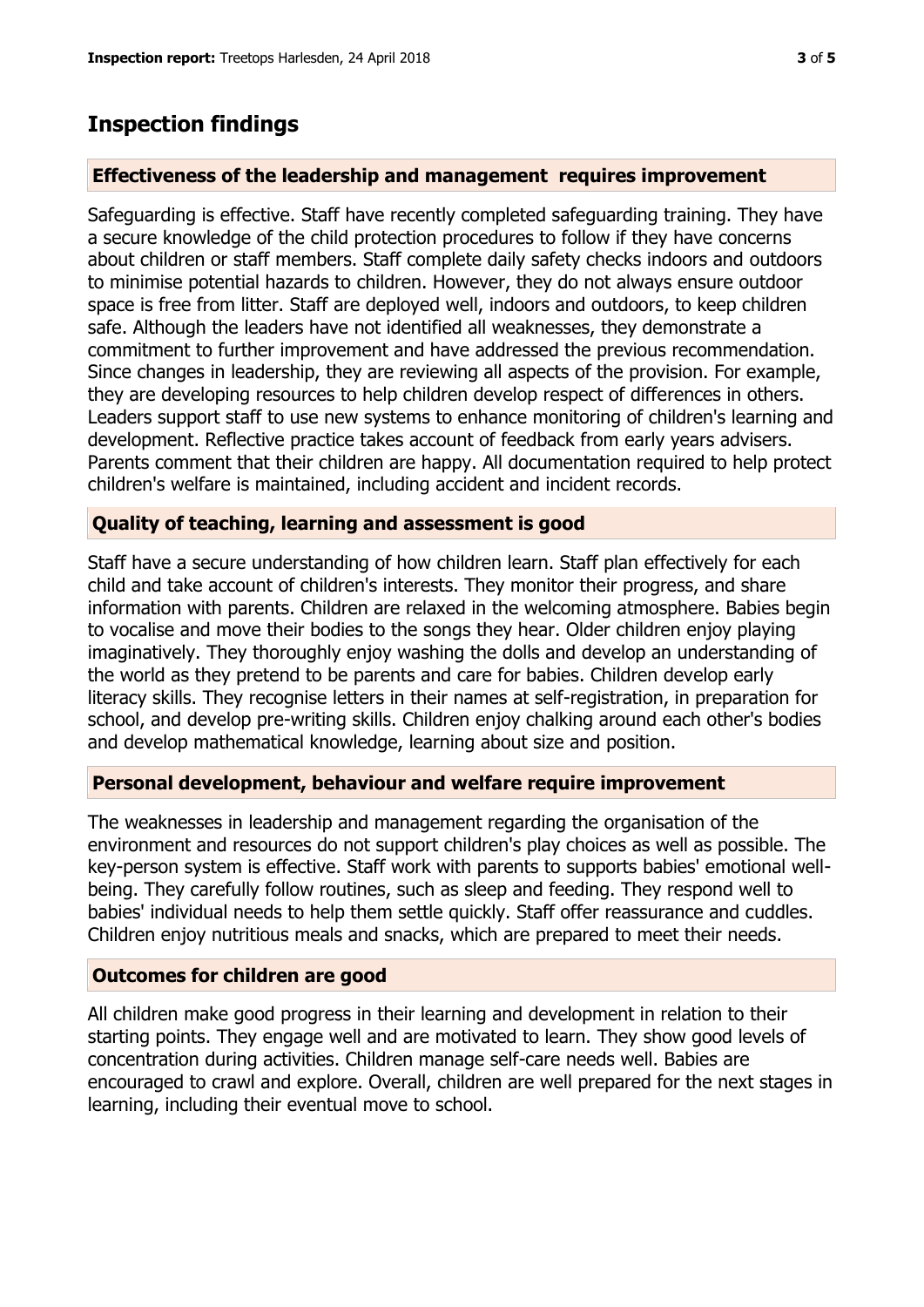## **Inspection findings**

#### **Effectiveness of the leadership and management requires improvement**

Safeguarding is effective. Staff have recently completed safeguarding training. They have a secure knowledge of the child protection procedures to follow if they have concerns about children or staff members. Staff complete daily safety checks indoors and outdoors to minimise potential hazards to children. However, they do not always ensure outdoor space is free from litter. Staff are deployed well, indoors and outdoors, to keep children safe. Although the leaders have not identified all weaknesses, they demonstrate a commitment to further improvement and have addressed the previous recommendation. Since changes in leadership, they are reviewing all aspects of the provision. For example, they are developing resources to help children develop respect of differences in others. Leaders support staff to use new systems to enhance monitoring of children's learning and development. Reflective practice takes account of feedback from early years advisers. Parents comment that their children are happy. All documentation required to help protect children's welfare is maintained, including accident and incident records.

#### **Quality of teaching, learning and assessment is good**

Staff have a secure understanding of how children learn. Staff plan effectively for each child and take account of children's interests. They monitor their progress, and share information with parents. Children are relaxed in the welcoming atmosphere. Babies begin to vocalise and move their bodies to the songs they hear. Older children enjoy playing imaginatively. They thoroughly enjoy washing the dolls and develop an understanding of the world as they pretend to be parents and care for babies. Children develop early literacy skills. They recognise letters in their names at self-registration, in preparation for school, and develop pre-writing skills. Children enjoy chalking around each other's bodies and develop mathematical knowledge, learning about size and position.

#### **Personal development, behaviour and welfare require improvement**

The weaknesses in leadership and management regarding the organisation of the environment and resources do not support children's play choices as well as possible. The key-person system is effective. Staff work with parents to supports babies' emotional wellbeing. They carefully follow routines, such as sleep and feeding. They respond well to babies' individual needs to help them settle quickly. Staff offer reassurance and cuddles. Children enjoy nutritious meals and snacks, which are prepared to meet their needs.

#### **Outcomes for children are good**

All children make good progress in their learning and development in relation to their starting points. They engage well and are motivated to learn. They show good levels of concentration during activities. Children manage self-care needs well. Babies are encouraged to crawl and explore. Overall, children are well prepared for the next stages in learning, including their eventual move to school.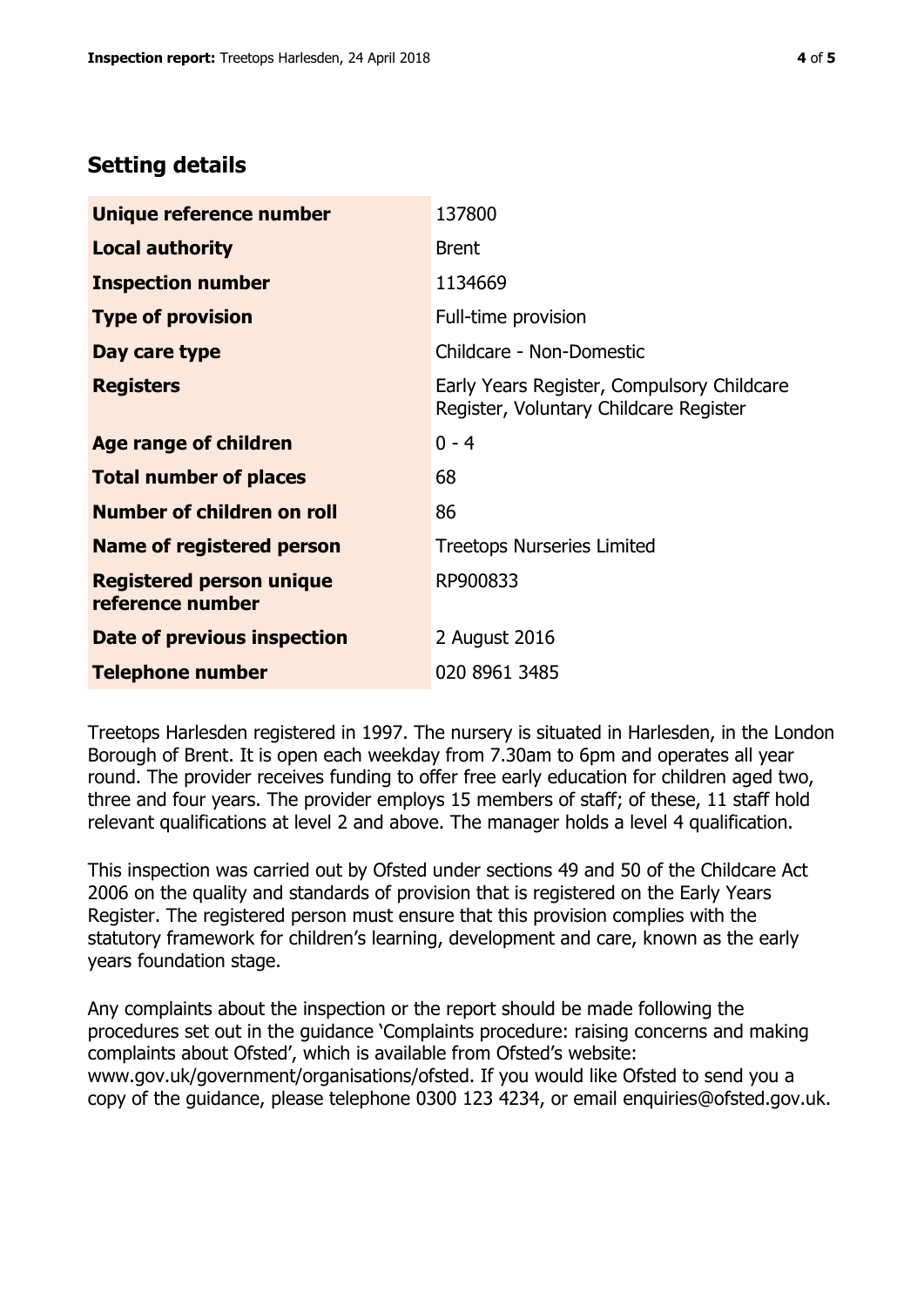# **Setting details**

| Unique reference number                             | 137800                                                                               |
|-----------------------------------------------------|--------------------------------------------------------------------------------------|
| <b>Local authority</b>                              | <b>Brent</b>                                                                         |
| <b>Inspection number</b>                            | 1134669                                                                              |
| <b>Type of provision</b>                            | Full-time provision                                                                  |
| Day care type                                       | Childcare - Non-Domestic                                                             |
| <b>Registers</b>                                    | Early Years Register, Compulsory Childcare<br>Register, Voluntary Childcare Register |
| Age range of children                               | $0 - 4$                                                                              |
| <b>Total number of places</b>                       | 68                                                                                   |
| Number of children on roll                          | 86                                                                                   |
| Name of registered person                           | <b>Treetops Nurseries Limited</b>                                                    |
| <b>Registered person unique</b><br>reference number | RP900833                                                                             |
| <b>Date of previous inspection</b>                  | 2 August 2016                                                                        |
| <b>Telephone number</b>                             | 020 8961 3485                                                                        |

Treetops Harlesden registered in 1997. The nursery is situated in Harlesden, in the London Borough of Brent. It is open each weekday from 7.30am to 6pm and operates all year round. The provider receives funding to offer free early education for children aged two, three and four years. The provider employs 15 members of staff; of these, 11 staff hold relevant qualifications at level 2 and above. The manager holds a level 4 qualification.

This inspection was carried out by Ofsted under sections 49 and 50 of the Childcare Act 2006 on the quality and standards of provision that is registered on the Early Years Register. The registered person must ensure that this provision complies with the statutory framework for children's learning, development and care, known as the early years foundation stage.

Any complaints about the inspection or the report should be made following the procedures set out in the guidance 'Complaints procedure: raising concerns and making complaints about Ofsted', which is available from Ofsted's website: www.gov.uk/government/organisations/ofsted. If you would like Ofsted to send you a copy of the guidance, please telephone 0300 123 4234, or email enquiries@ofsted.gov.uk.